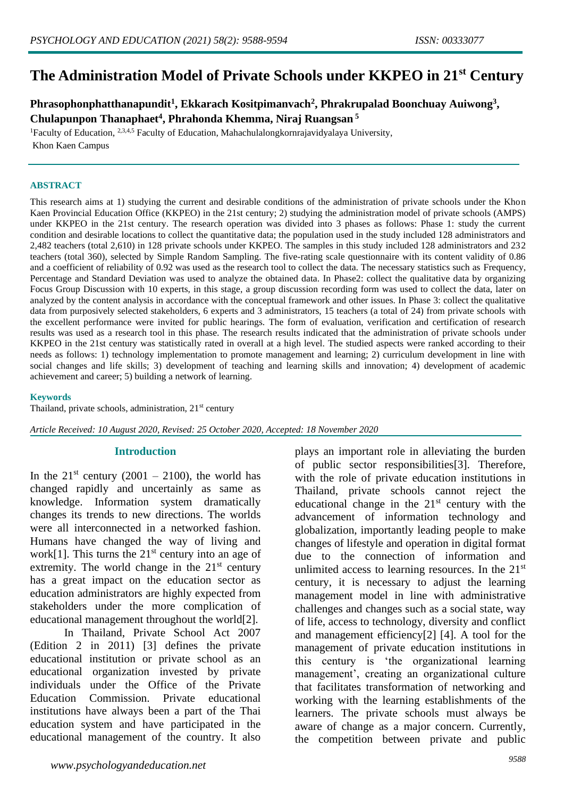# **The Administration Model of Private Schools under KKPEO in 21st Century**

**Phrasophonphatthanapundit<sup>1</sup> , Ekkarach Kositpimanvach<sup>2</sup> , Phrakrupalad Boonchuay Auiwong<sup>3</sup> , Chulapunpon Thanaphaet<sup>4</sup> , Phrahonda Khemma, Niraj Ruangsan <sup>5</sup>**

<sup>1</sup>Faculty of Education,  $2,3,4,5$  Faculty of Education, Mahachulalong kornrajavidyalaya University, Khon Kaen Campus

#### **ABSTRACT**

This research aims at 1) studying the current and desirable conditions of the administration of private schools under the Khon Kaen Provincial Education Office (KKPEO) in the 21st century; 2) studying the administration model of private schools (AMPS) under KKPEO in the 21st century. The research operation was divided into 3 phases as follows: Phase 1: study the current condition and desirable locations to collect the quantitative data; the population used in the study included 128 administrators and 2,482 teachers (total 2,610) in 128 private schools under KKPEO. The samples in this study included 128 administrators and 232 teachers (total 360), selected by Simple Random Sampling. The five-rating scale questionnaire with its content validity of 0.86 and a coefficient of reliability of 0.92 was used as the research tool to collect the data. The necessary statistics such as Frequency, Percentage and Standard Deviation was used to analyze the obtained data. In Phase2: collect the qualitative data by organizing Focus Group Discussion with 10 experts, in this stage, a group discussion recording form was used to collect the data, later on analyzed by the content analysis in accordance with the conceptual framework and other issues. In Phase 3: collect the qualitative data from purposively selected stakeholders, 6 experts and 3 administrators, 15 teachers (a total of 24) from private schools with the excellent performance were invited for public hearings. The form of evaluation, verification and certification of research results was used as a research tool in this phase. The research results indicated that the administration of private schools under KKPEO in the 21st century was statistically rated in overall at a high level. The studied aspects were ranked according to their needs as follows: 1) technology implementation to promote management and learning; 2) curriculum development in line with social changes and life skills; 3) development of teaching and learning skills and innovation; 4) development of academic achievement and career; 5) building a network of learning.

#### **Keywords**

Thailand, private schools, administration, 21<sup>st</sup> century

*Article Received: 10 August 2020, Revised: 25 October 2020, Accepted: 18 November 2020*

#### **Introduction**

In the  $21<sup>st</sup>$  century (2001 – 2100), the world has changed rapidly and uncertainly as same as knowledge. Information system dramatically changes its trends to new directions. The worlds were all interconnected in a networked fashion. Humans have changed the way of living and work[1]. This turns the  $21<sup>st</sup>$  century into an age of extremity. The world change in the  $21<sup>st</sup>$  century has a great impact on the education sector as education administrators are highly expected from stakeholders under the more complication of educational management throughout the world[2].

In Thailand, Private School Act 2007 (Edition 2 in 2011) [3] defines the private educational institution or private school as an educational organization invested by private individuals under the Office of the Private Education Commission. Private educational institutions have always been a part of the Thai education system and have participated in the educational management of the country. It also

of public sector responsibilities[3]. Therefore, with the role of private education institutions in Thailand, private schools cannot reject the educational change in the  $21<sup>st</sup>$  century with the advancement of information technology and globalization, importantly leading people to make changes of lifestyle and operation in digital format due to the connection of information and unlimited access to learning resources. In the 21st century, it is necessary to adjust the learning management model in line with administrative challenges and changes such as a social state, way of life, access to technology, diversity and conflict and management efficiency[2] [4]. A tool for the management of private education institutions in this century is 'the organizational learning management', creating an organizational culture that facilitates transformation of networking and working with the learning establishments of the learners. The private schools must always be aware of change as a major concern. Currently, the competition between private and public

plays an important role in alleviating the burden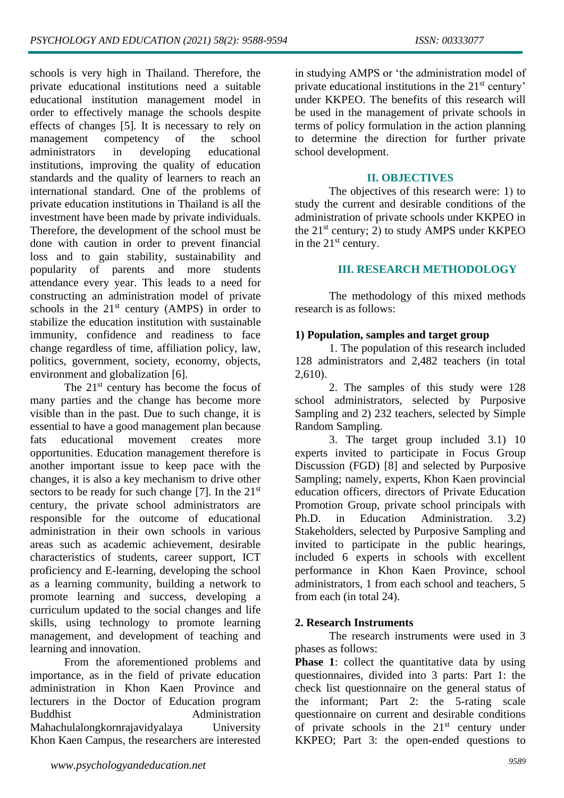schools is very high in Thailand. Therefore, the private educational institutions need a suitable educational institution management model in order to effectively manage the schools despite effects of changes [5]. It is necessary to rely on management competency of the school administrators in developing educational institutions, improving the quality of education standards and the quality of learners to reach an international standard. One of the problems of private education institutions in Thailand is all the investment have been made by private individuals. Therefore, the development of the school must be done with caution in order to prevent financial loss and to gain stability, sustainability and popularity of parents and more students attendance every year. This leads to a need for constructing an administration model of private schools in the  $21<sup>st</sup>$  century (AMPS) in order to stabilize the education institution with sustainable immunity, confidence and readiness to face change regardless of time, affiliation policy, law, politics, government, society, economy, objects, environment and globalization [6].

The  $21<sup>st</sup>$  century has become the focus of many parties and the change has become more visible than in the past. Due to such change, it is essential to have a good management plan because fats educational movement creates more opportunities. Education management therefore is another important issue to keep pace with the changes, it is also a key mechanism to drive other sectors to be ready for such change [7]. In the  $21<sup>st</sup>$ century, the private school administrators are responsible for the outcome of educational administration in their own schools in various areas such as academic achievement, desirable characteristics of students, career support, ICT proficiency and E-learning, developing the school as a learning community, building a network to promote learning and success, developing a curriculum updated to the social changes and life skills, using technology to promote learning management, and development of teaching and learning and innovation.

From the aforementioned problems and importance, as in the field of private education administration in Khon Kaen Province and lecturers in the Doctor of Education program Buddhist **Administration** Mahachulalongkornrajavidyalaya University Khon Kaen Campus, the researchers are interested in studying AMPS or 'the administration model of private educational institutions in the 21<sup>st</sup> century' under KKPEO. The benefits of this research will be used in the management of private schools in terms of policy formulation in the action planning to determine the direction for further private school development.

### **II. OBJECTIVES**

The objectives of this research were: 1) to study the current and desirable conditions of the administration of private schools under KKPEO in the 21st century; 2) to study AMPS under KKPEO in the  $21<sup>st</sup>$  century.

# **III. RESEARCH METHODOLOGY**

The methodology of this mixed methods research is as follows:

# **1) Population, samples and target group**

1. The population of this research included 128 administrators and 2,482 teachers (in total 2,610).

2. The samples of this study were 128 school administrators, selected by Purposive Sampling and 2) 232 teachers, selected by Simple Random Sampling.

3. The target group included 3.1) 10 experts invited to participate in Focus Group Discussion (FGD) [8] and selected by Purposive Sampling; namely, experts, Khon Kaen provincial education officers, directors of Private Education Promotion Group, private school principals with Ph.D. in Education Administration. 3.2) Stakeholders, selected by Purposive Sampling and invited to participate in the public hearings, included 6 experts in schools with excellent performance in Khon Kaen Province, school administrators, 1 from each school and teachers, 5 from each (in total 24).

# **2. Research Instruments**

The research instruments were used in 3 phases as follows:

**Phase 1**: collect the quantitative data by using questionnaires, divided into 3 parts: Part 1: the check list questionnaire on the general status of the informant; Part 2: the 5-rating scale questionnaire on current and desirable conditions of private schools in the  $21<sup>st</sup>$  century under KKPEO; Part 3: the open-ended questions to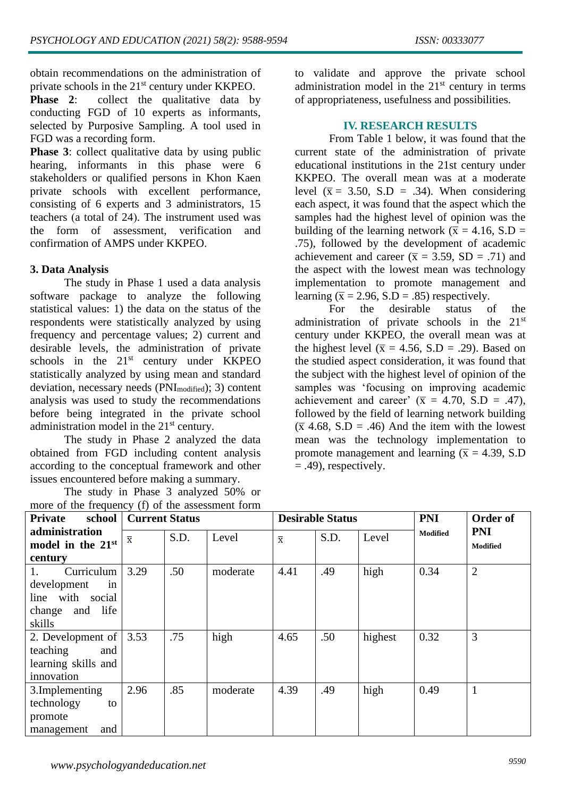obtain recommendations on the administration of private schools in the 21<sup>st</sup> century under KKPEO.

**Phase 2:** collect the qualitative data by conducting FGD of 10 experts as informants, selected by Purposive Sampling. A tool used in FGD was a recording form.

**Phase 3**: collect qualitative data by using public hearing, informants in this phase were 6 stakeholders or qualified persons in Khon Kaen private schools with excellent performance, consisting of 6 experts and 3 administrators, 15 teachers (a total of 24). The instrument used was the form of assessment, verification and confirmation of AMPS under KKPEO.

### **3. Data Analysis**

The study in Phase 1 used a data analysis software package to analyze the following statistical values: 1) the data on the status of the respondents were statistically analyzed by using frequency and percentage values; 2) current and desirable levels, the administration of private schools in the  $21<sup>st</sup>$  century under KKPEO statistically analyzed by using mean and standard deviation, necessary needs (PNI<sub>modified</sub>); 3) content analysis was used to study the recommendations before being integrated in the private school administration model in the 21<sup>st</sup> century.

The study in Phase 2 analyzed the data obtained from FGD including content analysis according to the conceptual framework and other issues encountered before making a summary.

The study in Phase 3 analyzed 50% or of the frequency  $(f)$  of the

to validate and approve the private school administration model in the  $21<sup>st</sup>$  century in terms of appropriateness, usefulness and possibilities.

### **IV. RESEARCH RESULTS**

From Table 1 below, it was found that the current state of the administration of private educational institutions in the 21st century under KKPEO. The overall mean was at a moderate level ( $\bar{x}$  = 3.50, S.D = .34). When considering each aspect, it was found that the aspect which the samples had the highest level of opinion was the building of the learning network ( $\bar{x} = 4.16$ , S.D = .75), followed by the development of academic achievement and career ( $\bar{x}$  = 3.59, SD = .71) and the aspect with the lowest mean was technology implementation to promote management and learning ( $\bar{x}$  = 2.96, S.D = .85) respectively.<br>For the desirable status of

For the desirable status of the administration of private schools in the  $21<sup>st</sup>$ century under KKPEO, the overall mean was at the highest level ( $\bar{x}$  = 4.56, S.D = .29). Based on the studied aspect consideration, it was found that the subject with the highest level of opinion of the samples was 'focusing on improving academic achievement and career'  $(\bar{x} = 4.70, S.D = .47)$ , followed by the field of learning network building  $(\overline{x}$  4.68, S.D = .46) And the item with the lowest mean was the technology implementation to promote management and learning ( $\bar{x}$  = 4.39, S.D = .49), respectively.

| more of the frequency (f) of the assessment form                                               |                         |      |          |                         |      |         |                 |                        |  |  |
|------------------------------------------------------------------------------------------------|-------------------------|------|----------|-------------------------|------|---------|-----------------|------------------------|--|--|
| school<br><b>Private</b>                                                                       | <b>Current Status</b>   |      |          | <b>Desirable Status</b> |      |         | <b>PNI</b>      | Order of               |  |  |
| administration<br>model in the 21st                                                            | $\overline{\textbf{x}}$ | S.D. | Level    | $\overline{\mathbf{x}}$ | S.D. | Level   | <b>Modified</b> | <b>PNI</b><br>Modified |  |  |
| century<br>Curriculum<br>development<br>in<br>line with social<br>change and<br>life<br>skills | 3.29                    | .50  | moderate | 4.41                    | .49  | high    | 0.34            | $\overline{2}$         |  |  |
| 2. Development of<br>teaching<br>and<br>learning skills and<br>innovation                      | 3.53                    | .75  | high     | 4.65                    | .50  | highest | 0.32            | 3                      |  |  |
| 3. Implementing<br>technology<br>to<br>promote<br>and<br>management                            | 2.96                    | .85  | moderate | 4.39                    | .49  | high    | 0.49            | $\mathbf{1}$           |  |  |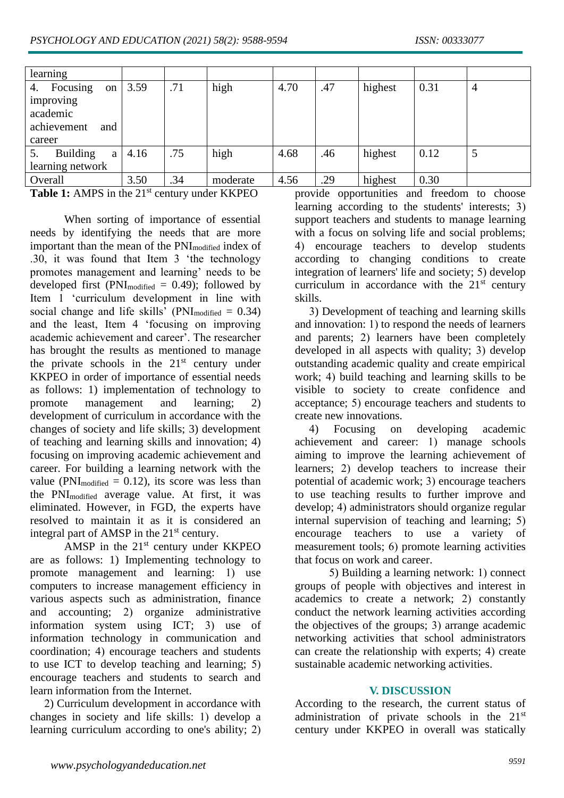| learning             |      |     |          |      |     |         |      |                |
|----------------------|------|-----|----------|------|-----|---------|------|----------------|
| Focusing<br>4.<br>on | 3.59 | .71 | high     | 4.70 | .47 | highest | 0.31 | $\overline{4}$ |
| improving            |      |     |          |      |     |         |      |                |
| academic             |      |     |          |      |     |         |      |                |
| achievement<br>and   |      |     |          |      |     |         |      |                |
| career               |      |     |          |      |     |         |      |                |
| Building<br>5.<br>a  | 4.16 | .75 | high     | 4.68 | .46 | highest | 0.12 | 5              |
| learning network     |      |     |          |      |     |         |      |                |
| Overall              | 3.50 | .34 | moderate | 4.56 | .29 | highest | 0.30 |                |

**Table 1:** AMPS in the 21<sup>st</sup> century under KKPEO

When sorting of importance of essential needs by identifying the needs that are more important than the mean of the PNI<sub>modified</sub> index of .30, it was found that Item 3 'the technology promotes management and learning' needs to be developed first (PNI<sub>modified</sub> =  $0.49$ ); followed by Item 1 'curriculum development in line with social change and life skills' ( $PNI_{modified} = 0.34$ ) and the least, Item 4 'focusing on improving academic achievement and career'. The researcher has brought the results as mentioned to manage the private schools in the  $21<sup>st</sup>$  century under KKPEO in order of importance of essential needs as follows: 1) implementation of technology to promote management and learning; 2) development of curriculum in accordance with the changes of society and life skills; 3) development of teaching and learning skills and innovation; 4) focusing on improving academic achievement and career. For building a learning network with the value (PNI<sub>modified</sub> = 0.12), its score was less than the PNImodified average value. At first, it was eliminated. However, in FGD, the experts have resolved to maintain it as it is considered an integral part of AMSP in the 21<sup>st</sup> century.

AMSP in the  $21<sup>st</sup>$  century under KKPEO are as follows: 1) Implementing technology to promote management and learning: 1) use computers to increase management efficiency in various aspects such as administration, finance and accounting; 2) organize administrative information system using ICT; 3) use of information technology in communication and coordination; 4) encourage teachers and students to use ICT to develop teaching and learning; 5) encourage teachers and students to search and learn information from the Internet.

 2) Curriculum development in accordance with changes in society and life skills: 1) develop a learning curriculum according to one's ability; 2)

provide opportunities and freedom to choose learning according to the students' interests; 3) support teachers and students to manage learning with a focus on solving life and social problems; 4) encourage teachers to develop students according to changing conditions to create integration of learners' life and society; 5) develop curriculum in accordance with the  $21<sup>st</sup>$  century skills.

 3) Development of teaching and learning skills and innovation: 1) to respond the needs of learners and parents; 2) learners have been completely developed in all aspects with quality; 3) develop outstanding academic quality and create empirical work; 4) build teaching and learning skills to be visible to society to create confidence and acceptance; 5) encourage teachers and students to create new innovations.

4) Focusing on developing academic achievement and career: 1) manage schools aiming to improve the learning achievement of learners; 2) develop teachers to increase their potential of academic work; 3) encourage teachers to use teaching results to further improve and develop; 4) administrators should organize regular internal supervision of teaching and learning; 5) encourage teachers to use a variety of measurement tools; 6) promote learning activities that focus on work and career.

5) Building a learning network: 1) connect groups of people with objectives and interest in academics to create a network; 2) constantly conduct the network learning activities according the objectives of the groups; 3) arrange academic networking activities that school administrators can create the relationship with experts; 4) create sustainable academic networking activities.

### **V. DISCUSSION**

According to the research, the current status of administration of private schools in the 21st century under KKPEO in overall was statically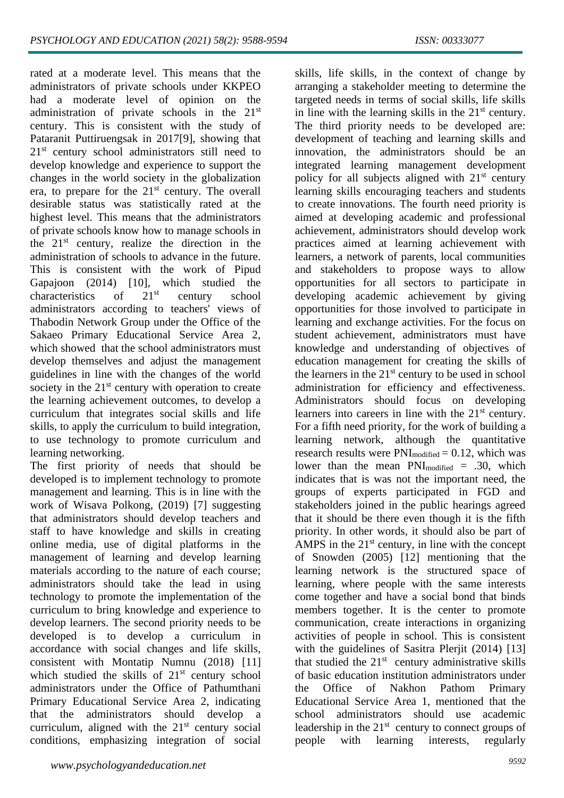rated at a moderate level. This means that the administrators of private schools under KKPEO had a moderate level of opinion on the administration of private schools in the 21<sup>st</sup> century. This is consistent with the study of Pataranit Puttiruengsak in 2017[9], showing that 21<sup>st</sup> century school administrators still need to develop knowledge and experience to support the changes in the world society in the globalization era, to prepare for the  $21<sup>st</sup>$  century. The overall desirable status was statistically rated at the highest level. This means that the administrators of private schools know how to manage schools in the  $21<sup>st</sup>$  century, realize the direction in the administration of schools to advance in the future. This is consistent with the work of Pipud Gapajoon (2014) [10], which studied the characteristics of  $21^{st}$  century school characteristics of  $21<sup>st</sup>$  century school administrators according to teachers' views of Thabodin Network Group under the Office of the Sakaeo Primary Educational Service Area 2, which showed that the school administrators must develop themselves and adjust the management guidelines in line with the changes of the world society in the  $21<sup>st</sup>$  century with operation to create the learning achievement outcomes, to develop a curriculum that integrates social skills and life skills, to apply the curriculum to build integration, to use technology to promote curriculum and learning networking.

The first priority of needs that should be developed is to implement technology to promote management and learning. This is in line with the work of Wisava Polkong, (2019) [7] suggesting that administrators should develop teachers and staff to have knowledge and skills in creating online media, use of digital platforms in the management of learning and develop learning materials according to the nature of each course; administrators should take the lead in using technology to promote the implementation of the curriculum to bring knowledge and experience to develop learners. The second priority needs to be developed is to develop a curriculum in accordance with social changes and life skills, consistent with Montatip Numnu (2018) [11] which studied the skills of  $21<sup>st</sup>$  century school administrators under the Office of Pathumthani Primary Educational Service Area 2, indicating that the administrators should develop a curriculum, aligned with the  $21<sup>st</sup>$  century social conditions, emphasizing integration of social

skills, life skills, in the context of change by arranging a stakeholder meeting to determine the targeted needs in terms of social skills, life skills in line with the learning skills in the  $21<sup>st</sup>$  century. The third priority needs to be developed are: development of teaching and learning skills and innovation, the administrators should be an integrated learning management development policy for all subjects aligned with  $21<sup>st</sup>$  century learning skills encouraging teachers and students to create innovations. The fourth need priority is aimed at developing academic and professional achievement, administrators should develop work practices aimed at learning achievement with learners, a network of parents, local communities and stakeholders to propose ways to allow opportunities for all sectors to participate in developing academic achievement by giving opportunities for those involved to participate in learning and exchange activities. For the focus on student achievement, administrators must have knowledge and understanding of objectives of education management for creating the skills of the learners in the  $21<sup>st</sup>$  century to be used in school administration for efficiency and effectiveness. Administrators should focus on developing learners into careers in line with the  $21<sup>st</sup>$  century. For a fifth need priority, for the work of building a learning network, although the quantitative research results were  $PNI_{modified} = 0.12$ , which was lower than the mean  $PNI_{modified} = .30$ , which indicates that is was not the important need, the groups of experts participated in FGD and stakeholders joined in the public hearings agreed that it should be there even though it is the fifth priority. In other words, it should also be part of AMPS in the  $21<sup>st</sup>$  century, in line with the concept of Snowden (2005) [12] mentioning that the learning network is the structured space of learning, where people with the same interests come together and have a social bond that binds members together. It is the center to promote communication, create interactions in organizing activities of people in school. This is consistent with the guidelines of Sasitra Plerjit (2014) [13] that studied the  $21<sup>st</sup>$  century administrative skills of basic education institution administrators under the Office of Nakhon Pathom Primary Educational Service Area 1, mentioned that the school administrators should use academic leadership in the  $21<sup>st</sup>$  century to connect groups of people with learning interests, regularly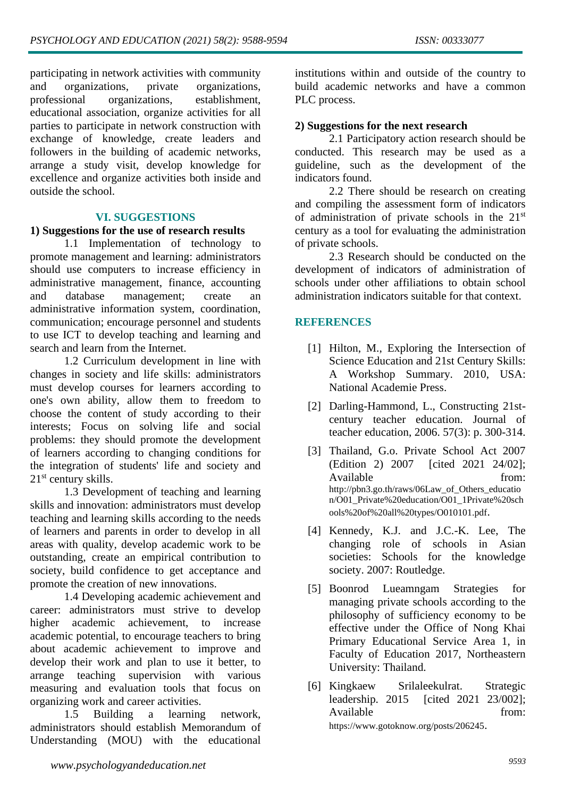participating in network activities with community and organizations, private organizations, professional organizations, establishment, educational association, organize activities for all parties to participate in network construction with exchange of knowledge, create leaders and followers in the building of academic networks, arrange a study visit, develop knowledge for excellence and organize activities both inside and outside the school.

### **VI. SUGGESTIONS**

#### **1) Suggestions for the use of research results**

1.1 Implementation of technology to promote management and learning: administrators should use computers to increase efficiency in administrative management, finance, accounting and database management; create an administrative information system, coordination, communication; encourage personnel and students to use ICT to develop teaching and learning and search and learn from the Internet.

1.2 Curriculum development in line with changes in society and life skills: administrators must develop courses for learners according to one's own ability, allow them to freedom to choose the content of study according to their interests; Focus on solving life and social problems: they should promote the development of learners according to changing conditions for the integration of students' life and society and 21st century skills.

1.3 Development of teaching and learning skills and innovation: administrators must develop teaching and learning skills according to the needs of learners and parents in order to develop in all areas with quality, develop academic work to be outstanding, create an empirical contribution to society, build confidence to get acceptance and promote the creation of new innovations.

1.4 Developing academic achievement and career: administrators must strive to develop higher academic achievement, to increase academic potential, to encourage teachers to bring about academic achievement to improve and develop their work and plan to use it better, to arrange teaching supervision with various measuring and evaluation tools that focus on organizing work and career activities.

1.5 Building a learning network, administrators should establish Memorandum of Understanding (MOU) with the educational

institutions within and outside of the country to build academic networks and have a common PLC process.

#### **2) Suggestions for the next research**

2.1 Participatory action research should be conducted. This research may be used as a guideline, such as the development of the indicators found.

2.2 There should be research on creating and compiling the assessment form of indicators of administration of private schools in the 21st century as a tool for evaluating the administration of private schools.

2.3 Research should be conducted on the development of indicators of administration of schools under other affiliations to obtain school administration indicators suitable for that context.

#### **REFERENCES**

- [1] Hilton, M., Exploring the Intersection of Science Education and 21st Century Skills: A Workshop Summary. 2010, USA: National Academie Press.
- [2] Darling-Hammond, L., Constructing 21stcentury teacher education. Journal of teacher education, 2006. 57(3): p. 300-314.
- [3] Thailand, G.o. Private School Act 2007 (Edition 2) 2007 [cited 2021 24/02]; Available from: [http://pbn3.go.th/raws/06Law\\_of\\_Others\\_educatio](http://pbn3.go.th/raws/06Law_of_Others_education/O01_Private%20education/O01_1Private%20schools%20of%20all%20types/O010101.pdf) [n/O01\\_Private%20education/O01\\_1Private%20sch](http://pbn3.go.th/raws/06Law_of_Others_education/O01_Private%20education/O01_1Private%20schools%20of%20all%20types/O010101.pdf) [ools%20of%20all%20types/O010101.pdf](http://pbn3.go.th/raws/06Law_of_Others_education/O01_Private%20education/O01_1Private%20schools%20of%20all%20types/O010101.pdf).
- [4] Kennedy, K.J. and J.C.-K. Lee, The changing role of schools in Asian societies: Schools for the knowledge society. 2007: Routledge.
- [5] Boonrod Lueamngam Strategies for managing private schools according to the philosophy of sufficiency economy to be effective under the Office of Nong Khai Primary Educational Service Area 1, in Faculty of Education 2017, Northeastern University: Thailand.
- [6] Kingkaew Srilaleekulrat. Strategic leadership. 2015 [cited 2021 23/002]; Available from: <https://www.gotoknow.org/posts/206245>.